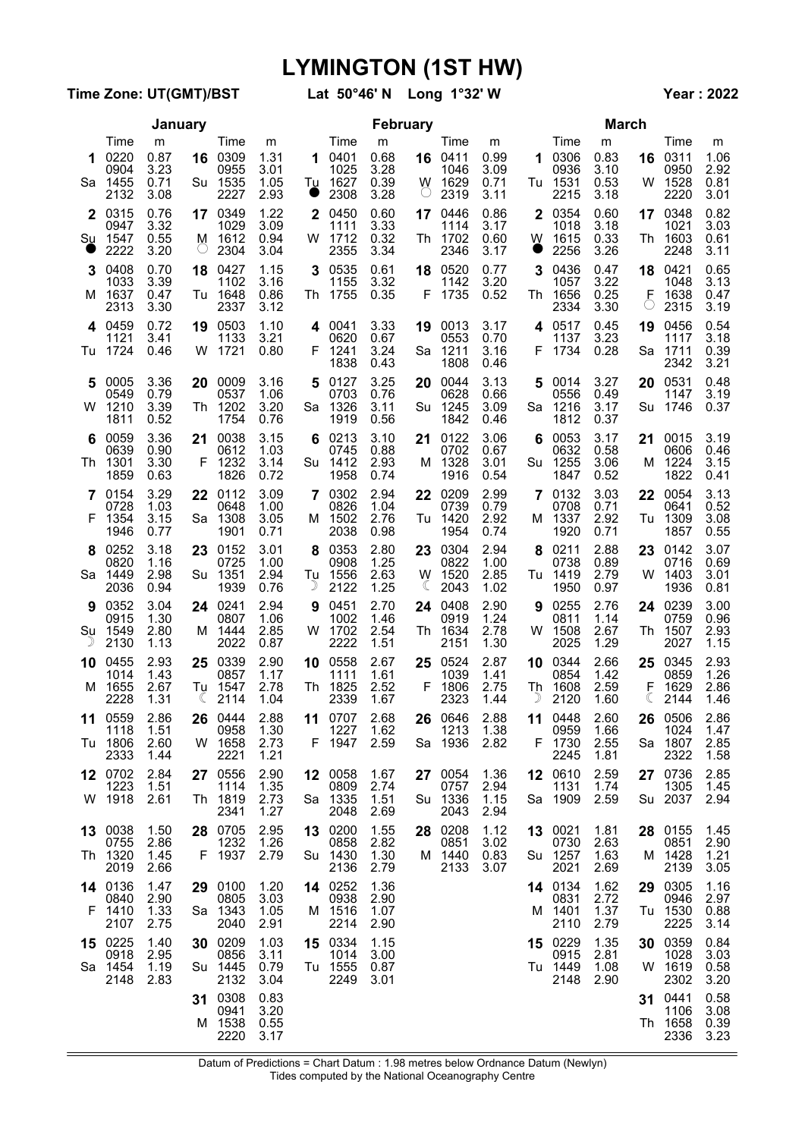Time Zone: UT(GMT)/BST

Lat 50°46' N Long 1°32' W

**Year: 2022** 

|                       | January                            |                              |         |                                    |                              |                |                                    |                              | <b>February</b> |                                    | <b>March</b>                 |                     |                                    |                              |              |                                    |                              |  |
|-----------------------|------------------------------------|------------------------------|---------|------------------------------------|------------------------------|----------------|------------------------------------|------------------------------|-----------------|------------------------------------|------------------------------|---------------------|------------------------------------|------------------------------|--------------|------------------------------------|------------------------------|--|
|                       | Time                               | m                            |         | Time                               | m                            |                | Time                               | m                            |                 | Time                               | m                            |                     | Time                               | m                            |              | Time                               | m                            |  |
| 1.<br>Sa              | 0220<br>0904<br>1455<br>2132       | 0.87<br>3.23<br>0.71<br>3.08 |         | 16 0309<br>0955<br>Su 1535<br>2227 | 1.31<br>3.01<br>1.05<br>2.93 | $\bullet$      | 1 0401<br>1025<br>Tu 1627<br>2308  | 0.68<br>3.28<br>0.39<br>3.28 | W<br>O          | 16 0411<br>1046<br>1629<br>2319    | 0.99<br>3.09<br>0.71<br>3.11 | 1                   | 0306<br>0936<br>Tu 1531<br>2215    | 0.83<br>3.10<br>0.53<br>3.18 | 16           | 0311<br>0950<br>W 1528<br>2220     | 1.06<br>2.92<br>0.81<br>3.01 |  |
| $\mathbf{2}^{\prime}$ | 0315<br>0947<br>Su 1547<br>2222    | 0.76<br>3.32<br>0.55<br>3.20 | M<br>Ő  | 17 0349<br>1029<br>1612<br>2304    | 1.22<br>3.09<br>0.94<br>3.04 | $\overline{2}$ | 0450<br>1111<br>W 1712<br>2355     | 0.60<br>3.33<br>0.32<br>3.34 |                 | 17 0446<br>1114<br>Th 1702<br>2346 | 0.86<br>3.17<br>0.60<br>3.17 | $\mathbf{2}^-$<br>♥ | 0354<br>1018<br>W 1615<br>2256     | 0.60<br>3.18<br>0.33<br>3.26 |              | 17 0348<br>1021<br>Th 1603<br>2248 | 0.82<br>3.03<br>0.61<br>3.11 |  |
| 3<br>м                | 0408<br>1033<br>1637<br>2313       | 0.70<br>3.39<br>0.47<br>3.30 | Tu      | 18 0427<br>1102<br>1648<br>2337    | 1.15<br>3.16<br>0.86<br>3.12 | Th             | 3 0535<br>1155<br>1755             | 0.61<br>3.32<br>0.35         | F.              | 18 0520<br>1142<br>1735            | 0.77<br>3.20<br>0.52         | 3<br>Th             | 0436<br>1057<br>1656<br>2334       | 0.47<br>3.22<br>0.25<br>3.30 | F<br>O       | 18 0421<br>1048<br>1638<br>2315    | 0.65<br>3.13<br>0.47<br>3.19 |  |
| Tu                    | 4 0459<br>1121<br>1724             | 0.72<br>3.41<br>0.46         | w       | 19 0503<br>1133<br>1721            | 1.10<br>3.21<br>0.80         |                | 4 0041<br>0620<br>F 1241<br>1838   | 3.33<br>0.67<br>3.24<br>0.43 | 19<br>Sa        | 0013<br>0553<br>1211<br>1808       | 3.17<br>0.70<br>3.16<br>0.46 | F.                  | 4 0517<br>1137<br>1734             | 0.45<br>3.23<br>0.28         | 19           | 0456<br>1117<br>Sa 1711<br>2342    | 0.54<br>3.18<br>0.39<br>3.21 |  |
| 5<br>W                | 0005<br>0549<br>1210<br>1811       | 3.36<br>0.79<br>3.39<br>0.52 | Th      | 20 0009<br>0537<br>1202<br>1754    | 3.16<br>1.06<br>3.20<br>0.76 | Sa             | 5 0127<br>0703<br>1326<br>1919     | 3.25<br>0.76<br>3.11<br>0.56 | 20<br>Su        | 0044<br>0628<br>1245<br>1842       | 3.13<br>0.66<br>3.09<br>0.46 | 5.<br>Sa            | 0014<br>0556<br>1216<br>1812       | 3.27<br>0.49<br>3.17<br>0.37 | 20<br>Su     | 0531<br>1147<br>1746               | 0.48<br>3.19<br>0.37         |  |
| 6<br>Th               | 0059<br>0639<br>1301<br>1859       | 3.36<br>0.90<br>3.30<br>0.63 | 21<br>F | 0038<br>0612<br>1232<br>1826       | 3.15<br>1.03<br>3.14<br>0.72 |                | 6 0213<br>0745<br>Su 1412<br>1958  | 3.10<br>0.88<br>2.93<br>0.74 | 21              | 0122<br>0702<br>M 1328<br>1916     | 3.06<br>0.67<br>3.01<br>0.54 | 6                   | 0053<br>0632<br>Su 1255<br>1847    | 3.17<br>0.58<br>3.06<br>0.52 |              | 21 0015<br>0606<br>M 1224<br>1822  | 3.19<br>0.46<br>3.15<br>0.41 |  |
| F.                    | 7 0154<br>0728<br>1354<br>1946     | 3.29<br>1.03<br>3.15<br>0.77 |         | 22 0112<br>0648<br>Sa 1308<br>1901 | 3.09<br>1.00<br>3.05<br>0.71 |                | 7 0302<br>0826<br>M 1502<br>2038   | 2.94<br>1.04<br>2.76<br>0.98 |                 | 22 0209<br>0739<br>Tu 1420<br>1954 | 2.99<br>0.79<br>2.92<br>0.74 |                     | 7 0132<br>0708<br>M 1337<br>1920   | 3.03<br>0.71<br>2.92<br>0.71 | Tu           | 22 0054<br>0641<br>1309<br>1857    | 3.13<br>0.52<br>3.08<br>0.55 |  |
| 8                     | 0252<br>0820<br>Sa 1449<br>2036    | 3.18<br>1.16<br>2.98<br>0.94 | 23      | 0152<br>0725<br>Su 1351<br>1939    | 3.01<br>1.00<br>2.94<br>0.76 | Tu<br>♪        | 8 0353<br>0908<br>1556<br>2122     | 2.80<br>1.25<br>2.63<br>1.25 | 23<br>W<br>€    | 0304<br>0822<br>1520<br>2043       | 2.94<br>1.00<br>2.85<br>1.02 |                     | 8 0211<br>0738<br>Tu 1419<br>1950  | 2.88<br>0.89<br>2.79<br>0.97 | 23           | 0142<br>0716<br>W 1403<br>1936     | 3.07<br>0.69<br>3.01<br>0.81 |  |
| 9<br>Su               | 0352<br>0915<br>1549<br>2130       | 3.04<br>1.30<br>2.80<br>1.13 |         | 24 0241<br>0807<br>M 1444<br>2022  | 2.94<br>1.06<br>2.85<br>0.87 | 9              | 0451<br>1002<br>W 1702<br>2222     | 2.70<br>1.46<br>2.54<br>1.51 | 24<br>Th        | 0408<br>0919<br>1634<br>2151       | 2.90<br>1.24<br>2.78<br>1.30 | 9                   | 0255<br>0811<br>W 1508<br>2025     | 2.76<br>1.14<br>2.67<br>1.29 | 24           | 0239<br>0759<br>Th 1507<br>2027    | 3.00<br>0.96<br>2.93<br>1.15 |  |
| 10<br>м               | 0455<br>1014<br>1655<br>2228       | 2.93<br>1.43<br>2.67<br>1.31 | 25<br>ℂ | 0339<br>0857<br>Tu 1547<br>2114    | 2.90<br>1.17<br>2.78<br>1.04 |                | 10 0558<br>1111<br>Th 1825<br>2339 | 2.67<br>1.61<br>2.52<br>1.67 | 25              | 0524<br>1039<br>F 1806<br>2323     | 2.87<br>1.41<br>2.75<br>1.44 | 10<br>᠉             | 0344<br>0854<br>Th 1608<br>2120    | 2.66<br>1.42<br>2.59<br>1.60 | 25<br>F<br>☾ | 0345<br>0859<br>1629<br>2144       | 2.93<br>1.26<br>2.86<br>1.46 |  |
|                       | 11 0559<br>1118<br>Tu 1806<br>2333 | 2.86<br>1.51<br>2.60<br>1.44 | 26.     | 0444<br>0958<br>W 1658<br>2221     | 2.88<br>1.30<br>2.73<br>1.21 |                | 11 0707<br>1227<br>F 1947          | 2.68<br>1.62<br>2.59         |                 | 26 0646<br>1213<br>Sa 1936         | 2.88<br>1.38<br>2.82         | 11                  | 0448<br>0959<br>F 1730<br>2245     | 2.60<br>1.66<br>2.55<br>1.81 |              | 26 0506<br>1024<br>Sa 1807<br>2322 | 2.86<br>1.47<br>2.85<br>1.58 |  |
|                       | 12 0702<br>1223<br>W 1918          | 2.84<br>1.51<br>2.61         |         | 27 0556<br>1114<br>Th 1819<br>2341 | 2.90<br>1.35<br>2.73<br>1.27 |                | 12 0058<br>0809<br>Sa 1335<br>2048 | 1.67<br>2.74<br>1.51<br>2.69 |                 | 27 0054<br>0757<br>Su 1336<br>2043 | 1.36<br>2.94<br>1.15<br>2.94 |                     | 12 0610<br>1131<br>Sa 1909         | 2.59<br>1.74<br>2.59         |              | 27 0736<br>1305<br>Su 2037         | 2.85<br>1.45<br>2.94         |  |
|                       | 13 0038<br>0755<br>Th 1320<br>2019 | 1.50<br>2.86<br>1.45<br>2.66 |         | 28 0705<br>1232<br>F 1937          | 2.95<br>1.26<br>2.79         |                | 13 0200<br>0858<br>Su 1430<br>2136 | 1.55<br>2.82<br>1.30<br>2.79 |                 | 28 0208<br>0851<br>M 1440<br>2133  | 1.12<br>3.02<br>0.83<br>3.07 |                     | 13 0021<br>0730<br>Su 1257<br>2021 | 1.81<br>2.63<br>1.63<br>2.69 |              | 28 0155<br>0851<br>M 1428<br>2139  | 1.45<br>2.90<br>1.21<br>3.05 |  |
|                       | 14 0136<br>0840<br>F 1410<br>2107  | 1.47<br>2.90<br>1.33<br>2.75 |         | 29 0100<br>0805<br>Sa 1343<br>2040 | 1.20<br>3.03<br>1.05<br>2.91 |                | 14 0252<br>0938<br>M 1516<br>2214  | 1.36<br>2.90<br>1.07<br>2.90 |                 |                                    |                              |                     | 14 0134<br>0831<br>M 1401<br>2110  | 1.62<br>2.72<br>1.37<br>2.79 |              | 29 0305<br>0946<br>Tu 1530<br>2225 | 1.16<br>2.97<br>0.88<br>3.14 |  |
|                       | 15 0225<br>0918<br>Sa 1454<br>2148 | 1.40<br>2.95<br>1.19<br>2.83 |         | 30 0209<br>0856<br>Su 1445<br>2132 | 1.03<br>3.11<br>0.79<br>3.04 |                | 15 0334<br>1014<br>Tu 1555<br>2249 | 1.15<br>3.00<br>0.87<br>3.01 |                 |                                    |                              |                     | 15 0229<br>0915<br>Tu 1449<br>2148 | 1.35<br>2.81<br>1.08<br>2.90 |              | 30 0359<br>1028<br>W 1619<br>2302  | 0.84<br>3.03<br>0.58<br>3.20 |  |
|                       |                                    |                              |         | 31 0308<br>0941<br>M 1538<br>2220  | 0.83<br>3.20<br>0.55<br>3.17 |                |                                    |                              |                 |                                    |                              |                     |                                    |                              |              | 31 0441<br>1106<br>Th 1658<br>2336 | 0.58<br>3.08<br>0.39<br>3.23 |  |

Datum of Predictions = Chart Datum : 1.98 metres below Ordnance Datum (Newlyn)<br>Tides computed by the National Oceanography Centre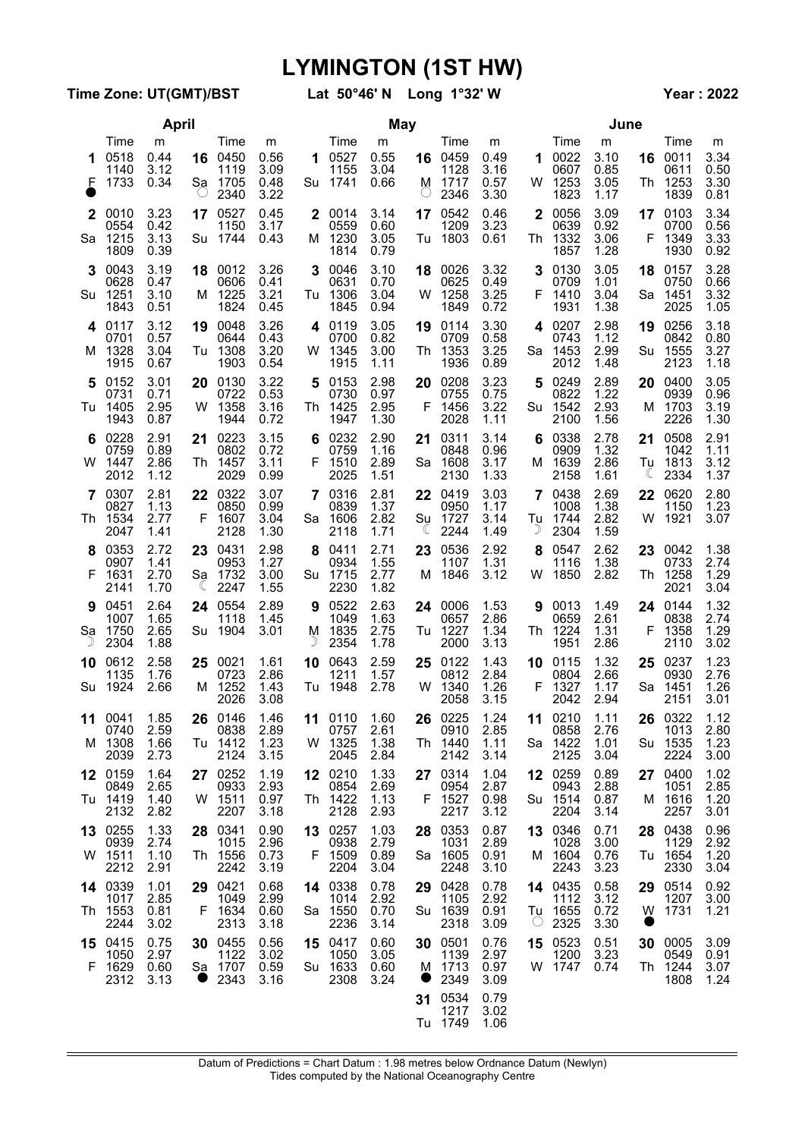Time Zone: UT(GMT)/BST

Lat 50°46' N Long 1°32' W

**Year: 2022** 

|          |                                    | April                        |               |                                    | <b>May</b>                   |        |                                    |                              |                                                  |                                    |                              | June                     |                                    |                              |               |                                    |                              |  |
|----------|------------------------------------|------------------------------|---------------|------------------------------------|------------------------------|--------|------------------------------------|------------------------------|--------------------------------------------------|------------------------------------|------------------------------|--------------------------|------------------------------------|------------------------------|---------------|------------------------------------|------------------------------|--|
|          | Time                               | m                            |               | Time                               | m                            |        | Time                               | m                            |                                                  | Time                               | m                            |                          | Time                               | m                            |               | Time                               | m                            |  |
| F        | 0518<br>1140<br>1733               | 0.44<br>3.12<br>0.34         | 16<br>Sa      | 0450<br>1119<br>1705<br>2340       | 0.56<br>3.09<br>0.48<br>3.22 | 1.     | 0527<br>1155<br>Su 1741            | 0.55<br>3.04<br>0.66         | м<br>$\left(\begin{array}{c} \end{array}\right)$ | 16 0459<br>1128<br>1717<br>2346    | 0.49<br>3.16<br>0.57<br>3.30 | 1                        | 0022<br>0607<br>W 1253<br>1823     | 3.10<br>0.85<br>3.05<br>1.17 | 16            | 0011<br>0611<br>Th 1253<br>1839    | 3.34<br>0.50<br>3.30<br>0.81 |  |
| 2<br>Sa  | 0010<br>0554<br>1215<br>1809       | 3.23<br>0.42<br>3.13<br>0.39 | 17            | 0527<br>1150<br>Su 1744            | 0.45<br>3.17<br>0.43         |        | 2 0014<br>0559<br>M 1230<br>1814   | 3.14<br>0.60<br>3.05<br>0.79 | 17<br>Tu                                         | 0542<br>1209<br>1803               | 0.46<br>3.23<br>0.61         | $\mathbf{2}^-$<br>Th     | 0056<br>0639<br>1332<br>1857       | 3.09<br>0.92<br>3.06<br>1.28 |               | 17 0103<br>0700<br>F 1349<br>1930  | 3.34<br>0.56<br>3.33<br>0.92 |  |
| 3<br>Su  | 0043<br>0628<br>1251<br>1843       | 3.19<br>0.47<br>3.10<br>0.51 |               | 18 0012<br>0606<br>M 1225<br>1824  | 3.26<br>0.41<br>3.21<br>0.45 |        | 3 0046<br>0631<br>Tu 1306<br>1845  | 3.10<br>0.70<br>3.04<br>0.94 | 18<br>W                                          | 0026<br>0625<br>1258<br>1849       | 3.32<br>0.49<br>3.25<br>0.72 | 3<br>F.                  | 0130<br>0709<br>1410<br>1931       | 3.05<br>1.01<br>3.04<br>1.38 |               | 18 0157<br>0750<br>Sa 1451<br>2025 | 3.28<br>0.66<br>3.32<br>1.05 |  |
| M        | 4 0117<br>0701<br>1328<br>1915     | 3.12<br>0.57<br>3.04<br>0.67 | 19            | 0048<br>0644<br>Tu 1308<br>1903    | 3.26<br>0.43<br>3.20<br>0.54 |        | 4 0119<br>0700<br>W 1345<br>1915   | 3.05<br>0.82<br>3.00<br>1.11 | 19<br>Th                                         | 0114<br>0709<br>1353<br>1936       | 3.30<br>0.58<br>3.25<br>0.89 |                          | 4 0207<br>0743<br>Sa 1453<br>2012  | 2.98<br>1.12<br>2.99<br>1.48 | 19            | 0256<br>0842<br>Su 1555<br>2123    | 3.18<br>0.80<br>3.27<br>1.18 |  |
| 5.<br>Tu | 0152<br>0731<br>1405<br>1943       | 3.01<br>0.71<br>2.95<br>0.87 |               | 20 0130<br>0722<br>W 1358<br>1944  | 3.22<br>0.53<br>3.16<br>0.72 | Th.    | 5 0153<br>0730<br>1425<br>1947     | 2.98<br>0.97<br>2.95<br>1.30 | 20<br>F                                          | 0208<br>0755<br>1456<br>2028       | 3.23<br>0.75<br>3.22<br>1.11 | 5.<br>Su                 | 0249<br>0822<br>1542<br>2100       | 2.89<br>1.22<br>2.93<br>1.56 | 20<br>м       | 0400<br>0939<br>1703<br>2226       | 3.05<br>0.96<br>3.19<br>1.30 |  |
| 6<br>w   | 0228<br>0759<br>1447<br>2012       | 2.91<br>0.89<br>2.86<br>1.12 | 21.<br>Th     | 0223<br>0802<br>1457<br>2029       | 3.15<br>0.72<br>3.11<br>0.99 |        | 6 0232<br>0759<br>F 1510<br>2025   | 2.90<br>1.16<br>2.89<br>1.51 | 21<br>Sa                                         | 0311<br>0848<br>1608<br>2130       | 3.14<br>0.96<br>3.17<br>1.33 | M                        | 6 0338<br>0909<br>1639<br>2158     | 2.78<br>1.32<br>2.86<br>1.61 | 21<br>Tu<br>∖ | 0508<br>1042<br>1813<br>2334       | 2.91<br>1.11<br>3.12<br>1.37 |  |
| 7<br>Th  | 0307<br>0827<br>1534<br>2047       | 2.81<br>1.13<br>2.77<br>1.41 | F.            | 22 0322<br>0850<br>1607<br>2128    | 3.07<br>0.99<br>3.04<br>1.30 |        | 7 0316<br>0839<br>Sa 1606<br>2118  | 2.81<br>1.37<br>2.82<br>1.71 | 22<br>Su<br>€                                    | 0419<br>0950<br>1727<br>2244       | 3.03<br>1.17<br>3.14<br>1.49 | $\mathbf{7}$<br>Tu<br>)) | 0438<br>1008<br>1744<br>2304       | 2.69<br>1.38<br>2.82<br>1.59 | 22<br>W       | 0620<br>1150<br>1921               | 2.80<br>1.23<br>3.07         |  |
| 8<br>F   | 0353<br>0907<br>1631<br>2141       | 2.72<br>1.41<br>2.70<br>1.70 | 23<br>Sa<br>ℚ | 0431<br>0953<br>1732<br>2247       | 2.98<br>1.27<br>3.00<br>1.55 | 8      | 0411<br>0934<br>Su 1715<br>2230    | 2.71<br>1.55<br>2.77<br>1.82 | 23<br>м                                          | 0536<br>1107<br>1846               | 2.92<br>1.31<br>3.12         | 8<br>W                   | 0547<br>1116<br>1850               | 2.62<br>1.38<br>2.82         | 23<br>Th      | 0042<br>0733<br>1258<br>2021       | 1.38<br>2.74<br>1.29<br>3.04 |  |
| 9<br>Sa  | 0451<br>1007<br>1750<br>2304       | 2.64<br>1.65<br>2.65<br>1.88 |               | 24 0554<br>1118<br>Su 1904         | 2.89<br>1.45<br>3.01         | 9<br>൰ | 0522<br>1049<br>M 1835<br>2354     | 2.63<br>1.63<br>2.75<br>1.78 | 24                                               | 0006<br>0657<br>Tu 1227<br>2000    | 1.53<br>2.86<br>1.34<br>3.13 | 9                        | 0013<br>0659<br>Th 1224<br>1951    | 1.49<br>2.61<br>1.31<br>2.86 | 24<br>F.      | 0144<br>0838<br>1358<br>2110       | 1.32<br>2.74<br>1.29<br>3.02 |  |
| 10<br>Su | 0612<br>1135<br>1924               | 2.58<br>1.76<br>2.66         | 25            | 0021<br>0723<br>M 1252<br>2026     | 1.61<br>2.86<br>1.43<br>3.08 | 10     | 0643<br>1211<br>Tu 1948            | 2.59<br>1.57<br>2.78         | 25<br>W                                          | 0122<br>0812<br>1340<br>2058       | 1.43<br>2.84<br>1.26<br>3.15 | 10                       | 0115<br>0804<br>F 1327<br>2042     | 1.32<br>2.66<br>1.17<br>2.94 | 25            | 0237<br>0930<br>Sa 1451<br>2151    | 1.23<br>2.76<br>1.26<br>3.01 |  |
| 11       | 0041<br>0740<br>M 1308<br>2039     | 1.85<br>2.59<br>1.66<br>2.73 |               | 26 0146<br>0838<br>Tu 1412<br>2124 | 1.46<br>2.89<br>1.23<br>3.15 |        | 11 0110<br>0757<br>W 1325<br>2045  | 1.60<br>2.61<br>1.38<br>2.84 |                                                  | 26 0225<br>0910<br>Th 1440<br>2142 | 1.24<br>2.85<br>1.11<br>3.14 | 11                       | 0210<br>0858<br>Sa 1422<br>2125    | 1.11<br>2.76<br>1.01<br>3.04 |               | 26 0322<br>1013<br>Su 1535<br>2224 | 1.12<br>2.80<br>1.23<br>3.00 |  |
|          | 12 0159<br>0849<br>Tu 1419<br>2132 | 1.64<br>2.65<br>1.40<br>2.82 |               | 27 0252<br>0933<br>W 1511<br>2207  | 1.19<br>2.93<br>0.97<br>3.18 |        | 12 0210<br>0854<br>Th 1422<br>2128 | 1.33<br>2.69<br>1.13<br>2.93 |                                                  | 27 0314<br>0954<br>F 1527<br>2217  | 1.04<br>2.87<br>0.98<br>3.12 |                          | 12 0259<br>0943<br>Su 1514<br>2204 | 0.89<br>2.88<br>0.87<br>3.14 |               | 27 0400<br>1051<br>M 1616<br>2257  | 1.02<br>2.85<br>1.20<br>3.01 |  |
|          | 13 0255<br>0939<br>W 1511<br>2212  | 1.33<br>2.74<br>1.10<br>2.91 |               | 28 0341<br>1015<br>Th 1556<br>2242 | 0.90<br>2.96<br>0.73<br>3.19 |        | 13 0257<br>0938<br>F 1509<br>2204  | 1.03<br>2.79<br>0.89<br>3.04 |                                                  | 28 0353<br>1031<br>Sa 1605<br>2248 | 0.87<br>2.89<br>0.91<br>3.10 |                          | 13 0346<br>1028<br>M 1604<br>2243  | 0.71<br>3.00<br>0.76<br>3.23 |               | 28 0438<br>1129<br>Tu 1654<br>2330 | 0.96<br>2.92<br>1.20<br>3.04 |  |
|          | 14 0339<br>1017<br>Th 1553<br>2244 | 1.01<br>2.85<br>0.81<br>3.02 |               | 29 0421<br>1049<br>F 1634<br>2313  | 0.68<br>2.99<br>0.60<br>3.18 |        | 14 0338<br>1014<br>Sa 1550<br>2236 | 0.78<br>2.92<br>0.70<br>3.14 |                                                  | 29 0428<br>1105<br>Su 1639<br>2318 | 0.78<br>2.92<br>0.91<br>3.09 | Ő                        | 14 0435<br>1112<br>Tu 1655<br>2325 | 0.58<br>3.12<br>0.72<br>3.30 |               | 29 0514<br>1207<br>W 1731          | 0.92<br>3.00<br>1.21         |  |
| F.       | 15 0415<br>1050<br>1629<br>2312    | 0.75<br>2.97<br>0.60<br>3.13 | ♥             | 30 0455<br>1122<br>Sa 1707<br>2343 | 0.56<br>3.02<br>0.59<br>3.16 |        | 15 0417<br>1050<br>Su 1633<br>2308 | 0.60<br>3.05<br>0.60<br>3.24 |                                                  | 30 0501<br>1139<br>M 1713<br>2349  | 0.76<br>2.97<br>0.97<br>3.09 |                          | 15 0523<br>1200<br>W 1747          | 0.51<br>3.23<br>0.74         | 30            | 0005<br>0549<br>Th 1244<br>1808    | 3.09<br>0.91<br>3.07<br>1.24 |  |
|          |                                    |                              |               |                                    |                              |        |                                    |                              |                                                  | 31 0534<br>1217<br>Tu 1749         | 0.79<br>3.02<br>1.06         |                          |                                    |                              |               |                                    |                              |  |

Datum of Predictions = Chart Datum : 1.98 metres below Ordnance Datum (Newlyn)<br>Tides computed by the National Oceanography Centre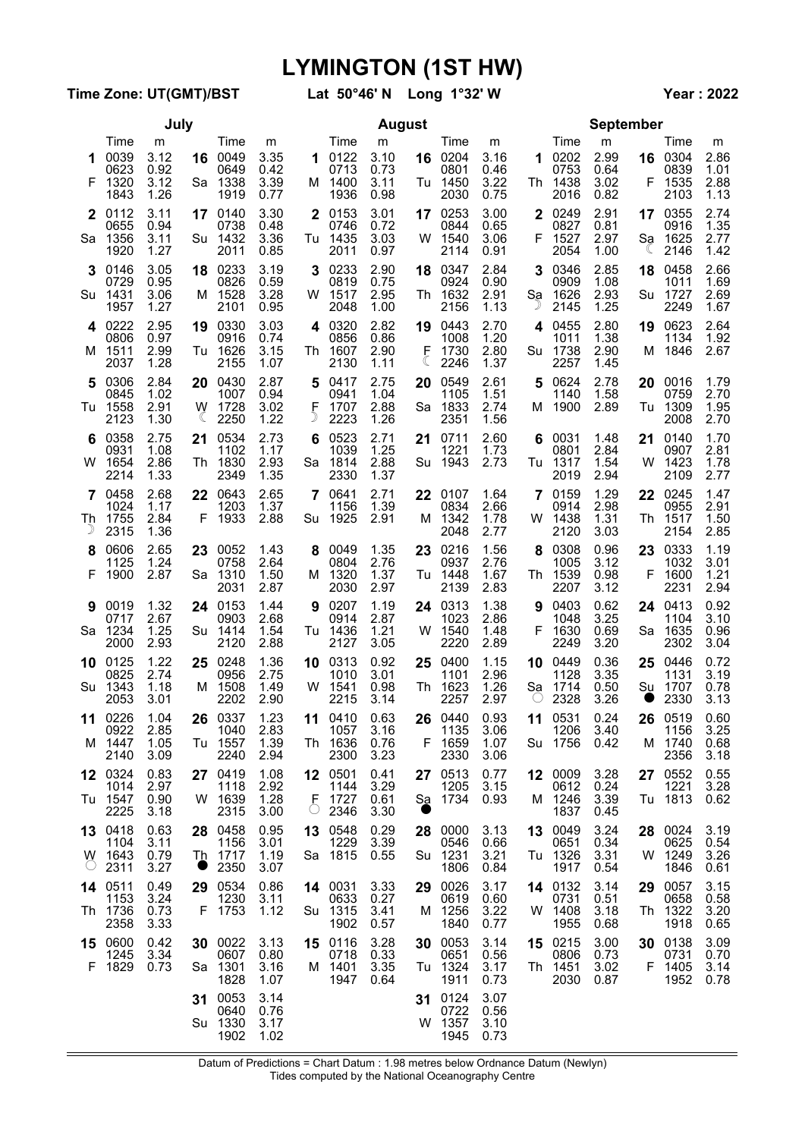Time Zone: UT(GMT)/BST

Lat 50°46' N Long 1°32' W

**Year: 2022** 

|          |                                    | July                         |                       |                                    |                              |                     |                                    | <b>August</b>                |              | <b>September</b>                   |                              |                                                         |                                    |                              |          |                                    |                              |
|----------|------------------------------------|------------------------------|-----------------------|------------------------------------|------------------------------|---------------------|------------------------------------|------------------------------|--------------|------------------------------------|------------------------------|---------------------------------------------------------|------------------------------------|------------------------------|----------|------------------------------------|------------------------------|
|          | Time                               | m                            |                       | Time                               | m                            |                     | Time                               | m                            |              | Time                               | m                            |                                                         | Time                               | m                            |          | Time                               | m                            |
| 1<br>F.  | 0039<br>0623<br>1320<br>1843       | 3.12<br>0.92<br>3.12<br>1.26 | 16<br>Sa              | 0049<br>0649<br>1338<br>1919       | 3.35<br>0.42<br>3.39<br>0.77 |                     | 1 0122<br>0713<br>M 1400<br>1936   | 3.10<br>0.73<br>3.11<br>0.98 | 16<br>Tu     | 0204<br>0801<br>1450<br>2030       | 3.16<br>0.46<br>3.22<br>0.75 |                                                         | 1 0202<br>0753<br>Th 1438<br>2016  | 2.99<br>0.64<br>3.02<br>0.82 | F.       | 16 0304<br>0839<br>1535<br>2103    | 2.86<br>1.01<br>2.88<br>1.13 |
| 2        | 0112<br>0655<br>Sa 1356<br>1920    | 3.11<br>0.94<br>3.11<br>1.27 | 17 <sup>7</sup>       | 0140<br>0738<br>Su 1432<br>2011    | 3.30<br>0.48<br>3.36<br>0.85 |                     | 2 0153<br>0746<br>Tu 1435<br>2011  | 3.01<br>0.72<br>3.03<br>0.97 | W            | 17 0253<br>0844<br>1540<br>2114    | 3.00<br>0.65<br>3.06<br>0.91 | F.                                                      | 2 0249<br>0827<br>1527<br>2054     | 2.91<br>0.81<br>2.97<br>1.00 | 17<br>Sa | 0355<br>0916<br>1625<br>2146       | 2.74<br>1.35<br>2.77<br>1.42 |
| 3        | 0146<br>0729<br>Su 1431<br>1957    | 3.05<br>0.95<br>3.06<br>1.27 | M                     | 18 0233<br>0826<br>1528<br>2101    | 3.19<br>0.59<br>3.28<br>0.95 |                     | 3 0233<br>0819<br>W 1517<br>2048   | 2.90<br>0.75<br>2.95<br>1.00 | Th           | 18 0347<br>0924<br>1632<br>2156    | 2.84<br>0.90<br>2.91<br>1.13 | Sa                                                      | 3 0346<br>0909<br>1626<br>2145     | 2.85<br>1.08<br>2.93<br>1.25 | 18<br>Su | 0458<br>1011<br>1727<br>2249       | 2.66<br>1.69<br>2.69<br>1.67 |
| M        | 4 0222<br>0806<br>1511<br>2037     | 2.95<br>0.97<br>2.99<br>1.28 | 19                    | 0330<br>0916<br>Tu 1626<br>2155    | 3.03<br>0.74<br>3.15<br>1.07 |                     | 4 0320<br>0856<br>Th 1607<br>2130  | 2.82<br>0.86<br>2.90<br>1.11 | 19<br>F<br>☾ | 0443<br>1008<br>1730<br>2246       | 2.70<br>1.20<br>2.80<br>1.37 | 4                                                       | 0455<br>1011<br>Su 1738<br>2257    | 2.80<br>1.38<br>2.90<br>1.45 | 19       | 0623<br>1134<br>M 1846             | 2.64<br>1.92<br>2.67         |
| 5<br>Tu  | 0306<br>0845<br>1558<br>2123       | 2.84<br>1.02<br>2.91<br>1.30 | W<br>€                | 20 0430<br>1007<br>1728<br>2250    | 2.87<br>0.94<br>3.02<br>1.22 | F                   | 5 0417<br>0941<br>1707<br>2223     | 2.75<br>1.04<br>2.88<br>1.26 | 20<br>Sa     | 0549<br>1105<br>1833<br>2351       | 2.61<br>1.51<br>2.74<br>1.56 | 5.<br>M                                                 | 0624<br>1140<br>1900               | 2.78<br>1.58<br>2.89         | Tu       | 20 0016<br>0759<br>1309<br>2008    | 1.79<br>2.70<br>1.95<br>2.70 |
| 6<br>w   | 0358<br>0931<br>1654<br>2214       | 2.75<br>1.08<br>2.86<br>1.33 | 21                    | 0534<br>1102<br>Th 1830<br>2349    | 2.73<br>1.17<br>2.93<br>1.35 | 6                   | 0523<br>1039<br>Sa 1814<br>2330    | 2.71<br>1.25<br>2.88<br>1.37 | 21<br>Su     | 0711<br>1221<br>1943               | 2.60<br>1.73<br>2.73         | 6.<br>Tu                                                | 0031<br>0801<br>1317<br>2019       | 1.48<br>2.84<br>1.54<br>2.94 |          | 21 0140<br>0907<br>W 1423<br>2109  | 1.70<br>2.81<br>1.78<br>2.77 |
| 7<br>Th  | 0458<br>1024<br>1755<br>2315       | 2.68<br>1.17<br>2.84<br>1.36 | 22 <sub>2</sub><br>F. | 0643<br>1203<br>1933               | 2.65<br>1.37<br>2.88         |                     | 7 0641<br>1156<br>Su 1925          | 2.71<br>1.39<br>2.91         | м            | 22 0107<br>0834<br>1342<br>2048    | 1.64<br>2.66<br>1.78<br>2.77 | W                                                       | 7 0159<br>0914<br>1438<br>2120     | 1.29<br>2.98<br>1.31<br>3.03 | Th       | 22 0245<br>0955<br>1517<br>2154    | 1.47<br>2.91<br>1.50<br>2.85 |
| 8<br>F.  | 0606<br>1125<br>1900               | 2.65<br>1.24<br>2.87         | 23                    | 0052<br>0758<br>Sa 1310<br>2031    | 1.43<br>2.64<br>1.50<br>2.87 |                     | 8 0049<br>0804<br>M 1320<br>2030   | 1.35<br>2.76<br>1.37<br>2.97 | 23<br>Tu     | 0216<br>0937<br>1448<br>2139       | 1.56<br>2.76<br>1.67<br>2.83 | 8<br>Th                                                 | 0308<br>1005<br>1539<br>2207       | 0.96<br>3.12<br>0.98<br>3.12 | 23<br>F. | 0333<br>1032<br>1600<br>2231       | 1.19<br>3.01<br>1.21<br>2.94 |
| 9        | 0019<br>0717<br>Sa 1234<br>2000    | 1.32<br>2.67<br>1.25<br>2.93 | 24                    | 0153<br>0903<br>Su 1414<br>2120    | 1.44<br>2.68<br>1.54<br>2.88 | 9                   | 0207<br>0914<br>Tu 1436<br>2127    | 1.19<br>2.87<br>1.21<br>3.05 | 24<br>W      | 0313<br>1023<br>1540<br>2220       | 1.38<br>2.86<br>1.48<br>2.89 | 9<br>F                                                  | 0403<br>1048<br>1630<br>2249       | 0.62<br>3.25<br>0.69<br>3.20 | 24<br>Sa | 0413<br>1104<br>1635<br>2302       | 0.92<br>3.10<br>0.96<br>3.04 |
| 10<br>Su | 0125<br>0825<br>1343<br>2053       | 1.22<br>2.74<br>1.18<br>3.01 | 25                    | 0248<br>0956<br>M 1508<br>2202     | 1.36<br>2.75<br>1.49<br>2.90 | 10                  | 0313<br>1010<br>W 1541<br>2215     | 0.92<br>3.01<br>0.98<br>3.14 | 25<br>Th     | 0400<br>1101<br>1623<br>2257       | 1.15<br>2.96<br>1.26<br>2.97 | 10<br>Sa<br>$\left(\begin{array}{c} \end{array}\right)$ | 0449<br>1128<br>1714<br>2328       | 0.36<br>3.35<br>0.50<br>3.26 | 25<br>Su | 0446<br>1131<br>1707<br>2330       | 0.72<br>3.19<br>0.78<br>3.13 |
| 11       | 0226<br>0922<br>M 1447<br>2140     | 1.04<br>2.85<br>1.05<br>3.09 |                       | 26 0337<br>1040<br>Tu 1557<br>2240 | 1.23<br>2.83<br>1.39<br>2.94 |                     | 11 0410<br>1057<br>Th 1636<br>2300 | 0.63<br>3.16<br>0.76<br>3.23 |              | 26 0440<br>1135<br>F 1659<br>2330  | 0.93<br>3.06<br>1.07<br>3.06 | 11                                                      | 0531<br>1206 3.40<br>Su 1756       | 0.24<br>0.42                 |          | 26 0519<br>1156<br>M 1740<br>2356  | 0.60<br>3.25<br>0.68<br>3.18 |
|          | 12 0324<br>1014<br>Tu 1547<br>2225 | 0.83<br>2.97<br>0.90<br>3.18 |                       | 27 0419<br>1118<br>W 1639<br>2315  | 1.08<br>2.92<br>1.28<br>3.00 | $\circlearrowright$ | 12 0501<br>1144<br>F 1727<br>2346  | 0.41<br>3.29<br>0.61<br>3.30 |              | 27 0513<br>1205<br>Sa 1734         | 0.77<br>3.15<br>0.93         |                                                         | 12 0009<br>0612<br>M 1246<br>1837  | 3.28<br>0.24<br>3.39<br>0.45 |          | 27 0552<br>1221<br>Tu 1813         | 0.55<br>3.28<br>0.62         |
|          | 13 0418<br>1104<br>W 1643<br>2311  | 0.63<br>3.11<br>0.79<br>3.27 |                       | 28 0458<br>1156<br>Th 1717<br>2350 | 0.95<br>3.01<br>1.19<br>3.07 |                     | 13 0548<br>1229<br>Sa 1815         | 0.29<br>3.39<br>0.55         |              | 28 0000<br>0546<br>Su 1231<br>1806 | 3.13<br>0.66<br>3.21<br>0.84 |                                                         | 13 0049<br>0651<br>Tu 1326<br>1917 | 3.24<br>0.34<br>3.31<br>0.54 |          | 28 0024<br>0625<br>W 1249<br>1846  | 3.19<br>0.54<br>3.26<br>0.61 |
|          | 14 0511<br>1153<br>Th 1736<br>2358 | 0.49<br>3.24<br>0.73<br>3.33 |                       | 29 0534<br>1230<br>F 1753          | 0.86<br>3.11<br>1.12         |                     | 14 0031<br>0633<br>Su 1315<br>1902 | 3.33<br>0.27<br>3.41<br>0.57 |              | 29 0026<br>0619<br>M 1256<br>1840  | 3.17<br>0.60<br>3.22<br>0.77 |                                                         | 14 0132<br>0731<br>W 1408<br>1955  | 3.14<br>0.51<br>3.18<br>0.68 |          | 29 0057<br>0658<br>Th 1322<br>1918 | 3.15<br>0.58<br>3.20<br>0.65 |
|          | 15 0600<br>1245<br>F 1829          | 0.42<br>3.34<br>0.73         |                       | 30 0022<br>0607<br>Sa 1301<br>1828 | 3.13<br>0.80<br>3.16<br>1.07 |                     | 15 0116<br>0718<br>M 1401<br>1947  | 3.28<br>0.33<br>3.35<br>0.64 |              | 30 0053<br>0651<br>Tu 1324<br>1911 | 3.14<br>0.56<br>3.17<br>0.73 |                                                         | 15 0215<br>0806<br>Th 1451<br>2030 | 3.00<br>0.73<br>3.02<br>0.87 |          | 30 0138<br>0731<br>F 1405<br>1952  | 3.09<br>0.70<br>3.14<br>0.78 |
|          |                                    |                              |                       | 31 0053<br>0640<br>Su 1330<br>1902 | 3.14<br>0.76<br>3.17<br>1.02 |                     |                                    |                              |              | 31 0124<br>0722<br>W 1357<br>1945  | 3.07<br>0.56<br>3.10<br>0.73 |                                                         |                                    |                              |          |                                    |                              |

Datum of Predictions = Chart Datum : 1.98 metres below Ordnance Datum (Newlyn)<br>Tides computed by the National Oceanography Centre